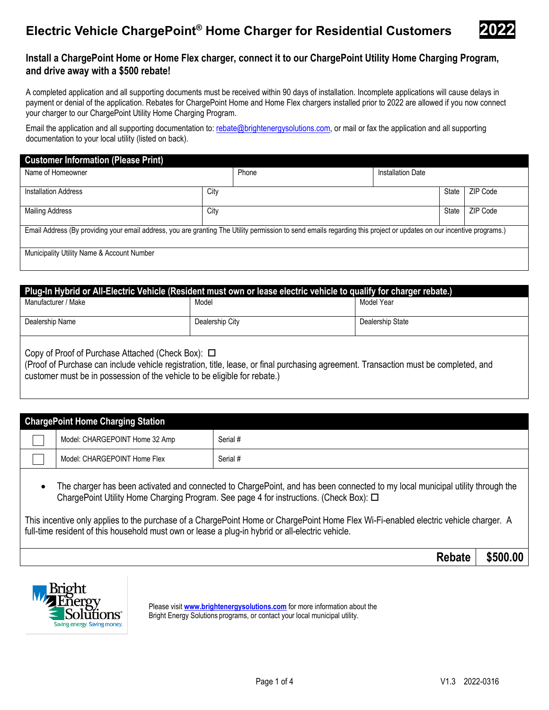# **Electric Vehicle ChargePoint<sup>®</sup> Home Charger for Residential Customers**



### **Install a ChargePoint Home or Home Flex charger, connect it to our ChargePoint Utility Home Charging Program, and drive away with a \$500 rebate!**

A completed application and all supporting documents must be received within 90 days of installation. Incomplete applications will cause delays in payment or denial of the application. Rebates for ChargePoint Home and Home Flex chargers installed prior to 2022 are allowed if you now connect your charger to our ChargePoint Utility Home Charging Program.

Email the application and all supporting documentation to: rebate@brightenergysolutions.com, or mail or fax the application and all supporting documentation to your local utility (listed on back).

| <b>Customer Information (Please Print)</b>                                                                                                                           |      |       |                   |       |          |
|----------------------------------------------------------------------------------------------------------------------------------------------------------------------|------|-------|-------------------|-------|----------|
| Name of Homeowner                                                                                                                                                    |      | Phone | Installation Date |       |          |
| <b>Installation Address</b>                                                                                                                                          | City |       |                   | State | ZIP Code |
| <b>Mailing Address</b>                                                                                                                                               | City |       |                   | State | ZIP Code |
| Email Address (By providing your email address, you are granting The Utility permission to send emails regarding this project or updates on our incentive programs.) |      |       |                   |       |          |
| Municipality Utility Name & Account Number                                                                                                                           |      |       |                   |       |          |

| Plug-In Hybrid or All-Electric Vehicle (Resident must own or lease electric vehicle to qualify for charger rebate.) |                 |                  |  |  |
|---------------------------------------------------------------------------------------------------------------------|-----------------|------------------|--|--|
| Manufacturer / Make                                                                                                 | Model           | Model Year       |  |  |
|                                                                                                                     |                 |                  |  |  |
| Dealership Name                                                                                                     | Dealership City | Dealership State |  |  |
|                                                                                                                     |                 |                  |  |  |
|                                                                                                                     |                 |                  |  |  |
| Copy of Proof of Purchase Attached (Check Box): □                                                                   |                 |                  |  |  |

(Proof of Purchase can include vehicle registration, title, lease, or final purchasing agreement. Transaction must be completed, and customer must be in possession of the vehicle to be eligible for rebate.)

| <b>ChargePoint Home Charging Station</b> |          |
|------------------------------------------|----------|
| Model: CHARGEPOINT Home 32 Amp           | Serial # |
| Model: CHARGEPOINT Home Flex             | Serial # |

• The charger has been activated and connected to ChargePoint, and has been connected to my local municipal utility through the ChargePoint Utility Home Charging Program. See page 4 for instructions. (Check Box):

This incentive only applies to the purchase of a ChargePoint Home or ChargePoint Home Flex Wi-Fi-enabled electric vehicle charger. A full-time resident of this household must own or lease a plug-in hybrid or all-electric vehicle.

| <b>Rebate</b> I | \$500.00 |
|-----------------|----------|
|-----------------|----------|



Please visit **www.brightenergysolutions.com** for more information about the Bright Energy Solutions programs, or contact your local municipal utility.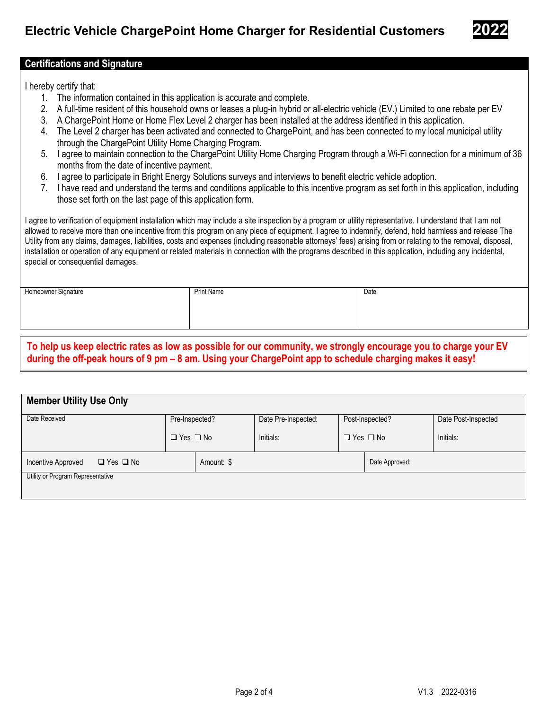

### **Certifications and Signature**

I hereby certify that:

- 1. The information contained in this application is accurate and complete.
- 2. A full-time resident of this household owns or leases a plug-in hybrid or all-electric vehicle (EV.) Limited to one rebate per EV
- 3. A ChargePoint Home or Home Flex Level 2 charger has been installed at the address identified in this application.
- 4. The Level 2 charger has been activated and connected to ChargePoint, and has been connected to my local municipal utility through the ChargePoint Utility Home Charging Program.
- 5. I agree to maintain connection to the ChargePoint Utility Home Charging Program through a Wi-Fi connection for a minimum of 36 months from the date of incentive payment.
- 6. I agree to participate in Bright Energy Solutions surveys and interviews to benefit electric vehicle adoption.
- 7. I have read and understand the terms and conditions applicable to this incentive program as set forth in this application, including those set forth on the last page of this application form.

I agree to verification of equipment installation which may include a site inspection by a program or utility representative. I understand that I am not allowed to receive more than one incentive from this program on any piece of equipment. I agree to indemnify, defend, hold harmless and release The Utility from any claims, damages, liabilities, costs and expenses (including reasonable attorneys' fees) arising from or relating to the removal, disposal, installation or operation of any equipment or related materials in connection with the programs described in this application, including any incidental, special or consequential damages.

| Homeowner Signature | <b>Print Name</b> | Date |
|---------------------|-------------------|------|
|                     |                   |      |
|                     |                   |      |

**To help us keep electric rates as low as possible for our community, we strongly encourage you to charge your EV during the off-peak hours of 9 pm – 8 am. Using your ChargePoint app to schedule charging makes it easy!**

| <b>Member Utility Use Only</b>                           |                      |  |                     |                 |                      |                     |
|----------------------------------------------------------|----------------------|--|---------------------|-----------------|----------------------|---------------------|
| Date Received                                            | Pre-Inspected?       |  | Date Pre-Inspected: | Post-Inspected? |                      | Date Post-Inspected |
|                                                          | $\Box$ Yes $\Box$ No |  | Initials:           |                 | $\Box$ Yes $\Box$ No | Initials:           |
| Amount: \$<br>$\Box$ Yes $\Box$ No<br>Incentive Approved |                      |  | Date Approved:      |                 |                      |                     |
| Utility or Program Representative                        |                      |  |                     |                 |                      |                     |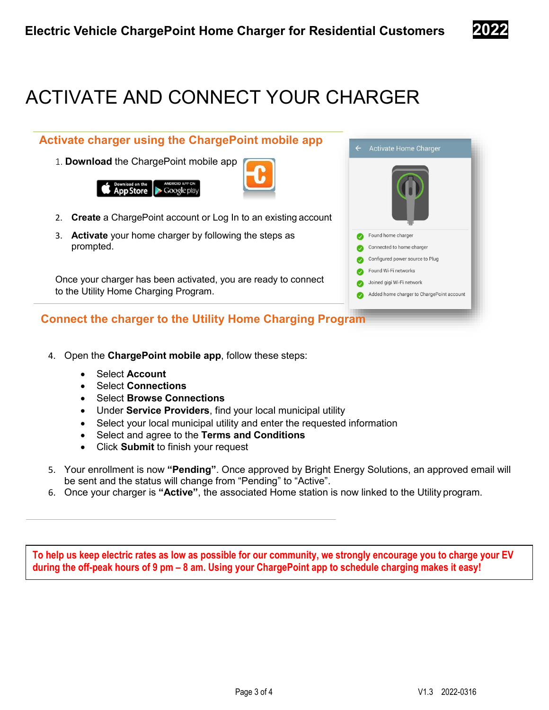

# ACTIVATE AND CONNECT YOUR CHARGER

## **Activate charger using the ChargePoint mobile app**

1. **Download** the ChargePoint mobile app





- 2. **Create** a ChargePoint account or Log In to an existing account
- 3. **Activate** your home charger by following the steps as prompted.

Once your charger has been activated, you are ready to connect to the Utility Home Charging Program.

### **Connect the charger to the Utility Home Charging Program**

- 4. Open the **ChargePoint mobile app**, follow these steps:
	- Select **Account**
	- Select **Connections**
	- Select **Browse Connections**
	- Under **Service Providers**, find your local municipal utility
	- Select your local municipal utility and enter the requested information
	- Select and agree to the **Terms and Conditions**
	- Click **Submit** to finish your request
- 5. Your enrollment is now **"Pending"**. Once approved by Bright Energy Solutions, an approved email will be sent and the status will change from "Pending" to "Active".
- 6. Once your charger is **"Active"**, the associated Home station is now linked to the Utility program.

**To help us keep electric rates as low as possible for our community, we strongly encourage you to charge your EV during the off-peak hours of 9 pm – 8 am. Using your ChargePoint app to schedule charging makes it easy!**



Activate Home Charger